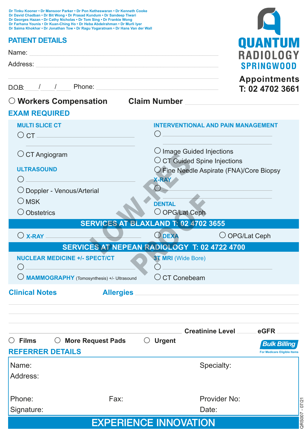| Dr Saima Khokhar • Dr Jonathan Tow • Dr Ragu Yogaratnam • Dr Hans Van der Wall<br><b>PATIENT DETAILS</b><br><b>QUAN</b><br>Name:<br>RADIOLOG<br>Address:<br><b>SPRINGWOOD</b><br><b>Appointments</b><br>D.O.B: / / Phone:<br>T: 02 4702 3661<br>O Workers Compensation Claim Number<br><b>MULTI SLICE CT</b><br><b>INTERVENTIONAL AND PAIN MANAGEMENT</b><br>$\circ$ CT $\_\_$<br>$\bigcirc$ Image Guided Injections<br>$\bigcirc$ CT Angiogram<br>$\circ$ CT Guided Spine Injections<br><b>ULTRASOUND</b><br>O Fine Needle Aspirate (FNA)/Core Biopsy<br><b>X-RAY</b><br>O Doppler - Venous/Arterial<br>$\bigcirc$ MSK<br><b>DENTAL</b><br>O OPG/Lat Ceph<br>$\bigcirc$ Obstetrics<br>SERVICES AT BLAXLAND T: 02 4702 3655<br>$O$ DEXA<br>O OPG/Lat Ceph<br>$\bigcirc$ X-RAY $\equiv$<br>SERVICES AT NEPEAN RADIOLOGY T: 02 4722 4700<br><b>NUCLEAR MEDICINE +/- SPECT/CT</b><br><b>3T MRI</b> (Wide Bore)<br>$\circ$ CT Conebeam<br>O MAMMOGRAPHY (Tomosynthesis) +/- Ultrasound<br><b>Allergies</b><br><b>Creatinine Level</b><br>eGFR<br>O More Request Pads<br><b>Urgent</b><br>Ő<br><b>Bulk Billing</b><br><b>For Medicare Eligible Items</b><br>Specialty:<br>Name:<br>Address:<br>Provider No:<br>Phone:<br>Fax:<br>QRS007 - 07/21<br>Signature:<br>Date:<br><b>EXPERIENCE INNOVATION</b> | Dr Tinku Kooner • Dr Mansoor Parker • Dr Pon Ketheswaran • Dr Kenneth Cooke<br>Dr David Chadban • Dr Bit Wong • Dr Prasad Kundum • Dr Sandeep Tiwari<br>Dr Georges Hazan . Dr Cathy Nicholas . Dr Tom Sing . Dr Frankie Wong<br>Dr Farhana Younis . Dr Kuan-Ching Ho . Dr Heba Abdelrahman . Dr Murli lyer |  |  |  |  |  |  |  |  |
|---------------------------------------------------------------------------------------------------------------------------------------------------------------------------------------------------------------------------------------------------------------------------------------------------------------------------------------------------------------------------------------------------------------------------------------------------------------------------------------------------------------------------------------------------------------------------------------------------------------------------------------------------------------------------------------------------------------------------------------------------------------------------------------------------------------------------------------------------------------------------------------------------------------------------------------------------------------------------------------------------------------------------------------------------------------------------------------------------------------------------------------------------------------------------------------------------------------------------------------------------------------------------------------------------|------------------------------------------------------------------------------------------------------------------------------------------------------------------------------------------------------------------------------------------------------------------------------------------------------------|--|--|--|--|--|--|--|--|
|                                                                                                                                                                                                                                                                                                                                                                                                                                                                                                                                                                                                                                                                                                                                                                                                                                                                                                                                                                                                                                                                                                                                                                                                                                                                                                   |                                                                                                                                                                                                                                                                                                            |  |  |  |  |  |  |  |  |
|                                                                                                                                                                                                                                                                                                                                                                                                                                                                                                                                                                                                                                                                                                                                                                                                                                                                                                                                                                                                                                                                                                                                                                                                                                                                                                   |                                                                                                                                                                                                                                                                                                            |  |  |  |  |  |  |  |  |
|                                                                                                                                                                                                                                                                                                                                                                                                                                                                                                                                                                                                                                                                                                                                                                                                                                                                                                                                                                                                                                                                                                                                                                                                                                                                                                   |                                                                                                                                                                                                                                                                                                            |  |  |  |  |  |  |  |  |
|                                                                                                                                                                                                                                                                                                                                                                                                                                                                                                                                                                                                                                                                                                                                                                                                                                                                                                                                                                                                                                                                                                                                                                                                                                                                                                   |                                                                                                                                                                                                                                                                                                            |  |  |  |  |  |  |  |  |
|                                                                                                                                                                                                                                                                                                                                                                                                                                                                                                                                                                                                                                                                                                                                                                                                                                                                                                                                                                                                                                                                                                                                                                                                                                                                                                   |                                                                                                                                                                                                                                                                                                            |  |  |  |  |  |  |  |  |
|                                                                                                                                                                                                                                                                                                                                                                                                                                                                                                                                                                                                                                                                                                                                                                                                                                                                                                                                                                                                                                                                                                                                                                                                                                                                                                   |                                                                                                                                                                                                                                                                                                            |  |  |  |  |  |  |  |  |
|                                                                                                                                                                                                                                                                                                                                                                                                                                                                                                                                                                                                                                                                                                                                                                                                                                                                                                                                                                                                                                                                                                                                                                                                                                                                                                   | <b>EXAM REQUIRED</b>                                                                                                                                                                                                                                                                                       |  |  |  |  |  |  |  |  |
|                                                                                                                                                                                                                                                                                                                                                                                                                                                                                                                                                                                                                                                                                                                                                                                                                                                                                                                                                                                                                                                                                                                                                                                                                                                                                                   |                                                                                                                                                                                                                                                                                                            |  |  |  |  |  |  |  |  |
|                                                                                                                                                                                                                                                                                                                                                                                                                                                                                                                                                                                                                                                                                                                                                                                                                                                                                                                                                                                                                                                                                                                                                                                                                                                                                                   |                                                                                                                                                                                                                                                                                                            |  |  |  |  |  |  |  |  |
|                                                                                                                                                                                                                                                                                                                                                                                                                                                                                                                                                                                                                                                                                                                                                                                                                                                                                                                                                                                                                                                                                                                                                                                                                                                                                                   |                                                                                                                                                                                                                                                                                                            |  |  |  |  |  |  |  |  |
|                                                                                                                                                                                                                                                                                                                                                                                                                                                                                                                                                                                                                                                                                                                                                                                                                                                                                                                                                                                                                                                                                                                                                                                                                                                                                                   |                                                                                                                                                                                                                                                                                                            |  |  |  |  |  |  |  |  |
|                                                                                                                                                                                                                                                                                                                                                                                                                                                                                                                                                                                                                                                                                                                                                                                                                                                                                                                                                                                                                                                                                                                                                                                                                                                                                                   |                                                                                                                                                                                                                                                                                                            |  |  |  |  |  |  |  |  |
|                                                                                                                                                                                                                                                                                                                                                                                                                                                                                                                                                                                                                                                                                                                                                                                                                                                                                                                                                                                                                                                                                                                                                                                                                                                                                                   |                                                                                                                                                                                                                                                                                                            |  |  |  |  |  |  |  |  |
|                                                                                                                                                                                                                                                                                                                                                                                                                                                                                                                                                                                                                                                                                                                                                                                                                                                                                                                                                                                                                                                                                                                                                                                                                                                                                                   |                                                                                                                                                                                                                                                                                                            |  |  |  |  |  |  |  |  |
|                                                                                                                                                                                                                                                                                                                                                                                                                                                                                                                                                                                                                                                                                                                                                                                                                                                                                                                                                                                                                                                                                                                                                                                                                                                                                                   |                                                                                                                                                                                                                                                                                                            |  |  |  |  |  |  |  |  |
|                                                                                                                                                                                                                                                                                                                                                                                                                                                                                                                                                                                                                                                                                                                                                                                                                                                                                                                                                                                                                                                                                                                                                                                                                                                                                                   |                                                                                                                                                                                                                                                                                                            |  |  |  |  |  |  |  |  |
|                                                                                                                                                                                                                                                                                                                                                                                                                                                                                                                                                                                                                                                                                                                                                                                                                                                                                                                                                                                                                                                                                                                                                                                                                                                                                                   |                                                                                                                                                                                                                                                                                                            |  |  |  |  |  |  |  |  |
|                                                                                                                                                                                                                                                                                                                                                                                                                                                                                                                                                                                                                                                                                                                                                                                                                                                                                                                                                                                                                                                                                                                                                                                                                                                                                                   |                                                                                                                                                                                                                                                                                                            |  |  |  |  |  |  |  |  |
|                                                                                                                                                                                                                                                                                                                                                                                                                                                                                                                                                                                                                                                                                                                                                                                                                                                                                                                                                                                                                                                                                                                                                                                                                                                                                                   |                                                                                                                                                                                                                                                                                                            |  |  |  |  |  |  |  |  |
|                                                                                                                                                                                                                                                                                                                                                                                                                                                                                                                                                                                                                                                                                                                                                                                                                                                                                                                                                                                                                                                                                                                                                                                                                                                                                                   |                                                                                                                                                                                                                                                                                                            |  |  |  |  |  |  |  |  |
|                                                                                                                                                                                                                                                                                                                                                                                                                                                                                                                                                                                                                                                                                                                                                                                                                                                                                                                                                                                                                                                                                                                                                                                                                                                                                                   |                                                                                                                                                                                                                                                                                                            |  |  |  |  |  |  |  |  |
|                                                                                                                                                                                                                                                                                                                                                                                                                                                                                                                                                                                                                                                                                                                                                                                                                                                                                                                                                                                                                                                                                                                                                                                                                                                                                                   |                                                                                                                                                                                                                                                                                                            |  |  |  |  |  |  |  |  |
|                                                                                                                                                                                                                                                                                                                                                                                                                                                                                                                                                                                                                                                                                                                                                                                                                                                                                                                                                                                                                                                                                                                                                                                                                                                                                                   | <b>Clinical Notes</b>                                                                                                                                                                                                                                                                                      |  |  |  |  |  |  |  |  |
|                                                                                                                                                                                                                                                                                                                                                                                                                                                                                                                                                                                                                                                                                                                                                                                                                                                                                                                                                                                                                                                                                                                                                                                                                                                                                                   |                                                                                                                                                                                                                                                                                                            |  |  |  |  |  |  |  |  |
|                                                                                                                                                                                                                                                                                                                                                                                                                                                                                                                                                                                                                                                                                                                                                                                                                                                                                                                                                                                                                                                                                                                                                                                                                                                                                                   |                                                                                                                                                                                                                                                                                                            |  |  |  |  |  |  |  |  |
|                                                                                                                                                                                                                                                                                                                                                                                                                                                                                                                                                                                                                                                                                                                                                                                                                                                                                                                                                                                                                                                                                                                                                                                                                                                                                                   |                                                                                                                                                                                                                                                                                                            |  |  |  |  |  |  |  |  |
|                                                                                                                                                                                                                                                                                                                                                                                                                                                                                                                                                                                                                                                                                                                                                                                                                                                                                                                                                                                                                                                                                                                                                                                                                                                                                                   | $\circ$ Films                                                                                                                                                                                                                                                                                              |  |  |  |  |  |  |  |  |
|                                                                                                                                                                                                                                                                                                                                                                                                                                                                                                                                                                                                                                                                                                                                                                                                                                                                                                                                                                                                                                                                                                                                                                                                                                                                                                   | <b>REFERRER DETAILS</b>                                                                                                                                                                                                                                                                                    |  |  |  |  |  |  |  |  |
|                                                                                                                                                                                                                                                                                                                                                                                                                                                                                                                                                                                                                                                                                                                                                                                                                                                                                                                                                                                                                                                                                                                                                                                                                                                                                                   |                                                                                                                                                                                                                                                                                                            |  |  |  |  |  |  |  |  |
|                                                                                                                                                                                                                                                                                                                                                                                                                                                                                                                                                                                                                                                                                                                                                                                                                                                                                                                                                                                                                                                                                                                                                                                                                                                                                                   |                                                                                                                                                                                                                                                                                                            |  |  |  |  |  |  |  |  |
|                                                                                                                                                                                                                                                                                                                                                                                                                                                                                                                                                                                                                                                                                                                                                                                                                                                                                                                                                                                                                                                                                                                                                                                                                                                                                                   |                                                                                                                                                                                                                                                                                                            |  |  |  |  |  |  |  |  |
|                                                                                                                                                                                                                                                                                                                                                                                                                                                                                                                                                                                                                                                                                                                                                                                                                                                                                                                                                                                                                                                                                                                                                                                                                                                                                                   |                                                                                                                                                                                                                                                                                                            |  |  |  |  |  |  |  |  |
|                                                                                                                                                                                                                                                                                                                                                                                                                                                                                                                                                                                                                                                                                                                                                                                                                                                                                                                                                                                                                                                                                                                                                                                                                                                                                                   |                                                                                                                                                                                                                                                                                                            |  |  |  |  |  |  |  |  |
|                                                                                                                                                                                                                                                                                                                                                                                                                                                                                                                                                                                                                                                                                                                                                                                                                                                                                                                                                                                                                                                                                                                                                                                                                                                                                                   |                                                                                                                                                                                                                                                                                                            |  |  |  |  |  |  |  |  |